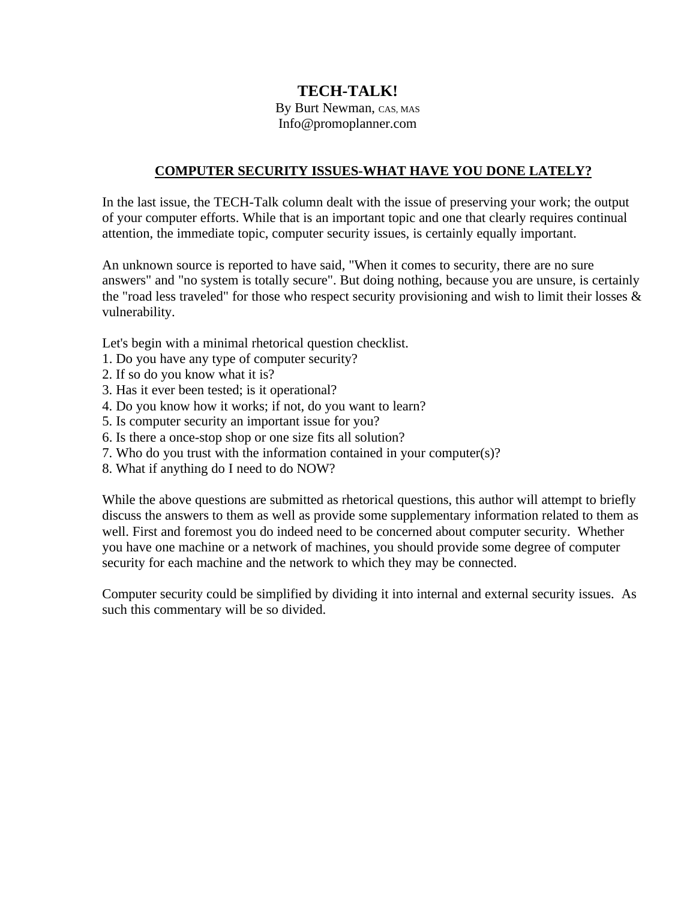## **TECH-TALK!**

## By Burt Newman, CAS, MAS Info@promoplanner.com

## **COMPUTER SECURITY ISSUES-WHAT HAVE YOU DONE LATELY?**

In the last issue, the TECH-Talk column dealt with the issue of preserving your work; the output of your computer efforts. While that is an important topic and one that clearly requires continual attention, the immediate topic, computer security issues, is certainly equally important.

An unknown source is reported to have said, "When it comes to security, there are no sure answers" and "no system is totally secure". But doing nothing, because you are unsure, is certainly the "road less traveled" for those who respect security provisioning and wish to limit their losses  $\&$ vulnerability.

Let's begin with a minimal rhetorical question checklist.

- 1. Do you have any type of computer security?
- 2. If so do you know what it is?
- 3. Has it ever been tested; is it operational?
- 4. Do you know how it works; if not, do you want to learn?
- 5. Is computer security an important issue for you?
- 6. Is there a once-stop shop or one size fits all solution?
- 7. Who do you trust with the information contained in your computer(s)?
- 8. What if anything do I need to do NOW?

While the above questions are submitted as rhetorical questions, this author will attempt to briefly discuss the answers to them as well as provide some supplementary information related to them as well. First and foremost you do indeed need to be concerned about computer security. Whether you have one machine or a network of machines, you should provide some degree of computer security for each machine and the network to which they may be connected.

Computer security could be simplified by dividing it into internal and external security issues. As such this commentary will be so divided.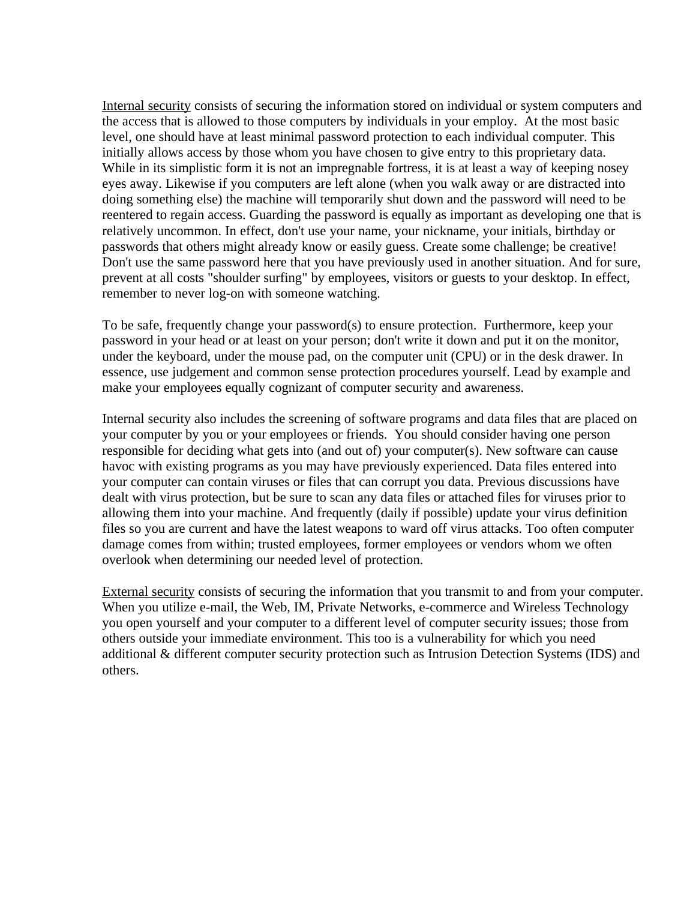Internal security consists of securing the information stored on individual or system computers and the access that is allowed to those computers by individuals in your employ. At the most basic level, one should have at least minimal password protection to each individual computer. This initially allows access by those whom you have chosen to give entry to this proprietary data. While in its simplistic form it is not an impregnable fortress, it is at least a way of keeping nosey eyes away. Likewise if you computers are left alone (when you walk away or are distracted into doing something else) the machine will temporarily shut down and the password will need to be reentered to regain access. Guarding the password is equally as important as developing one that is relatively uncommon. In effect, don't use your name, your nickname, your initials, birthday or passwords that others might already know or easily guess. Create some challenge; be creative! Don't use the same password here that you have previously used in another situation. And for sure, prevent at all costs "shoulder surfing" by employees, visitors or guests to your desktop. In effect, remember to never log-on with someone watching.

To be safe, frequently change your password(s) to ensure protection. Furthermore, keep your password in your head or at least on your person; don't write it down and put it on the monitor, under the keyboard, under the mouse pad, on the computer unit (CPU) or in the desk drawer. In essence, use judgement and common sense protection procedures yourself. Lead by example and make your employees equally cognizant of computer security and awareness.

Internal security also includes the screening of software programs and data files that are placed on your computer by you or your employees or friends. You should consider having one person responsible for deciding what gets into (and out of) your computer(s). New software can cause havoc with existing programs as you may have previously experienced. Data files entered into your computer can contain viruses or files that can corrupt you data. Previous discussions have dealt with virus protection, but be sure to scan any data files or attached files for viruses prior to allowing them into your machine. And frequently (daily if possible) update your virus definition files so you are current and have the latest weapons to ward off virus attacks. Too often computer damage comes from within; trusted employees, former employees or vendors whom we often overlook when determining our needed level of protection.

External security consists of securing the information that you transmit to and from your computer. When you utilize e-mail, the Web, IM, Private Networks, e-commerce and Wireless Technology you open yourself and your computer to a different level of computer security issues; those from others outside your immediate environment. This too is a vulnerability for which you need additional & different computer security protection such as Intrusion Detection Systems (IDS) and others.